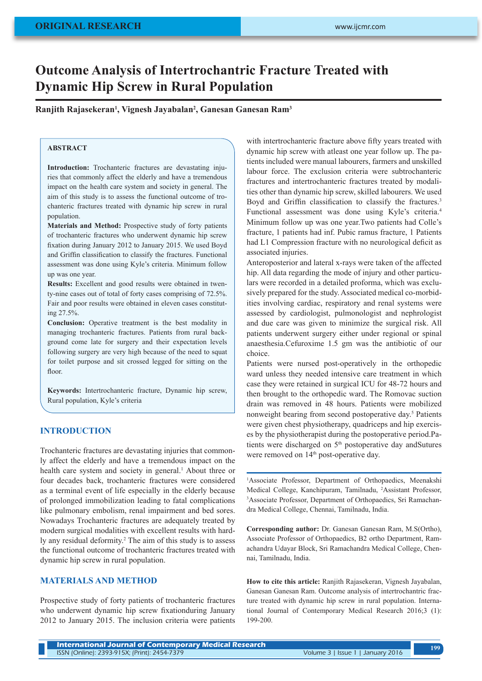# **Outcome Analysis of Intertrochantric Fracture Treated with Dynamic Hip Screw in Rural Population**

**Ranjith Rajasekeran1 , Vignesh Jayabalan2 , Ganesan Ganesan Ram3**

### **ABSTRACT**

**Introduction:** Trochanteric fractures are devastating injuries that commonly affect the elderly and have a tremendous impact on the health care system and society in general. The aim of this study is to assess the functional outcome of trochanteric fractures treated with dynamic hip screw in rural population.

**Materials and Method:** Prospective study of forty patients of trochanteric fractures who underwent dynamic hip screw fixation during January 2012 to January 2015. We used Boyd and Griffin classification to classify the fractures. Functional assessment was done using Kyle's criteria. Minimum follow up was one year.

**Results:** Excellent and good results were obtained in twenty-nine cases out of total of forty cases comprising of 72.5%. Fair and poor results were obtained in eleven cases constituting 27.5%.

**Conclusion:** Operative treatment is the best modality in managing trochanteric fractures. Patients from rural background come late for surgery and their expectation levels following surgery are very high because of the need to squat for toilet purpose and sit crossed legged for sitting on the floor.

**Keywords:** Intertrochanteric fracture, Dynamic hip screw, Rural population, Kyle's criteria

## **INTRODUCTION**

Trochanteric fractures are devastating injuries that commonly affect the elderly and have a tremendous impact on the health care system and society in general.<sup>1</sup> About three or four decades back, trochanteric fractures were considered as a terminal event of life especially in the elderly because of prolonged immobilization leading to fatal complications like pulmonary embolism, renal impairment and bed sores. Nowadays Trochanteric fractures are adequately treated by modern surgical modalities with excellent results with hardly any residual deformity.<sup>2</sup> The aim of this study is to assess the functional outcome of trochanteric fractures treated with dynamic hip screw in rural population.

# **MATERIALS AND METHOD**

Prospective study of forty patients of trochanteric fractures who underwent dynamic hip screw fixationduring January 2012 to January 2015. The inclusion criteria were patients with intertrochanteric fracture above fifty years treated with dynamic hip screw with atleast one year follow up. The patients included were manual labourers, farmers and unskilled labour force. The exclusion criteria were subtrochanteric fractures and intertrochanteric fractures treated by modalities other than dynamic hip screw, skilled labourers. We used Boyd and Griffin classification to classify the fractures.<sup>3</sup> Functional assessment was done using Kyle's criteria.<sup>4</sup> Minimum follow up was one year.Two patients had Colle's fracture, 1 patients had inf. Pubic ramus fracture, 1 Patients had L1 Compression fracture with no neurological deficit as associated injuries.

Anteroposterior and lateral x-rays were taken of the affected hip. All data regarding the mode of injury and other particulars were recorded in a detailed proforma, which was exclusively prepared for the study. Associated medical co-morbidities involving cardiac, respiratory and renal systems were assessed by cardiologist, pulmonologist and nephrologist and due care was given to minimize the surgical risk. All patients underwent surgery either under regional or spinal anaesthesia.Cefuroxime 1.5 gm was the antibiotic of our choice.

Patients were nursed post-operatively in the orthopedic ward unless they needed intensive care treatment in which case they were retained in surgical ICU for 48-72 hours and then brought to the orthopedic ward. The Romovac suction drain was removed in 48 hours. Patients were mobilized nonweight bearing from second postoperative day.<sup>5</sup> Patients were given chest physiotherapy, quadriceps and hip exercises by the physiotherapist during the postoperative period.Patients were discharged on 5<sup>th</sup> postoperative day andSutures were removed on 14<sup>th</sup> post-operative day.

<sup>1</sup>Associate Professor, Department of Orthopaedics, Meenakshi Medical College, Kanchipuram, Tamilnadu, <sup>2</sup> Assistant Professor, 3 Associate Professor, Department of Orthopaedics, Sri Ramachandra Medical College, Chennai, Tamilnadu, India.

**Corresponding author:** Dr. Ganesan Ganesan Ram, M.S(Ortho), Associate Professor of Orthopaedics, B2 ortho Department, Ramachandra Udayar Block, Sri Ramachandra Medical College, Chennai, Tamilnadu, India.

**How to cite this article:** Ranjith Rajasekeran, Vignesh Jayabalan, Ganesan Ganesan Ram. Outcome analysis of intertrochantric fracture treated with dynamic hip screw in rural population. International Journal of Contemporary Medical Research 2016;3 (1): 199-200.